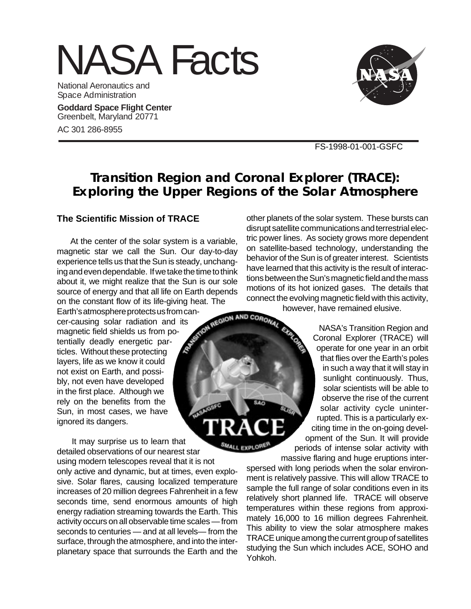# NASA Facts

National Aeronautics and Space Administration

**Goddard Space Flight Center** Greenbelt, Maryland 20771 AC 301 286-8955



FS-1998-01-001-GSFC

# **Transition Region and Coronal Explorer (TRACE): Exploring the Upper Regions of the Solar Atmosphere**

REGION AND CORONAL

**EXPLORE** 

#### **The Scientific Mission of TRACE**

 At the center of the solar system is a variable, magnetic star we call the Sun. Our day-to-day experience tells us that the Sun is steady, unchanging and even dependable. If we take the time to think about it, we might realize that the Sun is our sole source of energy and that all life on Earth depends on the constant flow of its life-giving heat. The

Earth's atmosphere protects us from cancer-causing solar radiation and its magnetic field shields us from potentially deadly energetic particles. Without these protecting layers, life as we know it could not exist on Earth, and possibly, not even have developed in the first place. Although we rely on the benefits from the Sun, in most cases, we have ignored its dangers.

 It may surprise us to learn that detailed observations of our nearest star

using modern telescopes reveal that it is not only active and dynamic, but at times, even explosive. Solar flares, causing localized temperature increases of 20 million degrees Fahrenheit in a few seconds time, send enormous amounts of high energy radiation streaming towards the Earth. This activity occurs on all observable time scales — from seconds to centuries — and at all levels— from the surface, through the atmosphere, and into the interplanetary space that surrounds the Earth and the other planets of the solar system. These bursts can disrupt satellite communications and terrestrial electric power lines. As society grows more dependent on satellite-based technology, understanding the behavior of the Sun is of greater interest. Scientists have learned that this activity is the result of interactions between the Sun's magnetic field and the mass motions of its hot ionized gases. The details that connect the evolving magnetic field with this activity,

however, have remained elusive.

 NASA's Transition Region and Coronal Explorer (TRACE) will operate for one year in an orbit that flies over the Earth's poles in such a way that it will stay in sunlight continuously. Thus, solar scientists will be able to observe the rise of the current solar activity cycle uninterrupted. This is a particularly exciting time in the on-going development of the Sun. It will provide periods of intense solar activity with

massive flaring and huge eruptions interspersed with long periods when the solar environment is relatively passive. This will allow TRACE to sample the full range of solar conditions even in its relatively short planned life. TRACE will observe temperatures within these regions from approximately 16,000 to 16 million degrees Fahrenheit. This ability to view the solar atmosphere makes TRACE unique among the current group of satellites studying the Sun which includes ACE, SOHO and Yohkoh.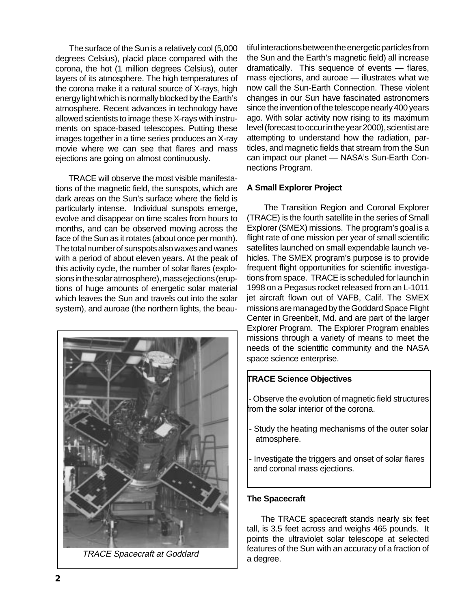The surface of the Sun is a relatively cool (5,000 degrees Celsius), placid place compared with the corona, the hot (1 million degrees Celsius), outer layers of its atmosphere. The high temperatures of the corona make it a natural source of X-rays, high energy light which is normally blocked by the Earth's atmosphere. Recent advances in technology have allowed scientists to image these X-rays with instruments on space-based telescopes. Putting these images together in a time series produces an X-ray movie where we can see that flares and mass ejections are going on almost continuously.

 TRACE will observe the most visible manifestations of the magnetic field, the sunspots, which are dark areas on the Sun's surface where the field is particularly intense. Individual sunspots emerge, evolve and disappear on time scales from hours to months, and can be observed moving across the face of the Sun as it rotates (about once per month). The total number of sunspots also waxes and wanes with a period of about eleven years. At the peak of this activity cycle, the number of solar flares (explosions in the solar atmosphere), mass ejections (eruptions of huge amounts of energetic solar material which leaves the Sun and travels out into the solar system), and auroae (the northern lights, the beau-



TRACE Spacecraft at Goddard a degree.

tiful interactions between the energetic particles from the Sun and the Earth's magnetic field) all increase dramatically. This sequence of events — flares, mass ejections, and auroae — illustrates what we now call the Sun-Earth Connection. These violent changes in our Sun have fascinated astronomers since the invention of the telescope nearly 400 years ago. With solar activity now rising to its maximum level (forecast to occur in the year 2000), scientist are attempting to understand how the radiation, particles, and magnetic fields that stream from the Sun can impact our planet — NASA's Sun-Earth Connections Program.

# **A Small Explorer Project**

 The Transition Region and Coronal Explorer (TRACE) is the fourth satellite in the series of Small Explorer (SMEX) missions. The program's goal is a flight rate of one mission per year of small scientific satellites launched on small expendable launch vehicles. The SMEX program's purpose is to provide frequent flight opportunities for scientific investigations from space. TRACE is scheduled for launch in 1998 on a Pegasus rocket released from an L-1011 jet aircraft flown out of VAFB, Calif. The SMEX missions are managed by the Goddard Space Flight Center in Greenbelt, Md. and are part of the larger Explorer Program. The Explorer Program enables missions through a variety of means to meet the needs of the scientific community and the NASA space science enterprise.

# **TRACE Science Objectives**

- Observe the evolution of magnetic field structures from the solar interior of the corona.
- Study the heating mechanisms of the outer solar atmosphere.
- Investigate the triggers and onset of solar flares and coronal mass ejections.

## **The Spacecraft**

The TRACE spacecraft stands nearly six feet tall, is 3.5 feet across and weighs 465 pounds. It points the ultraviolet solar telescope at selected features of the Sun with an accuracy of a fraction of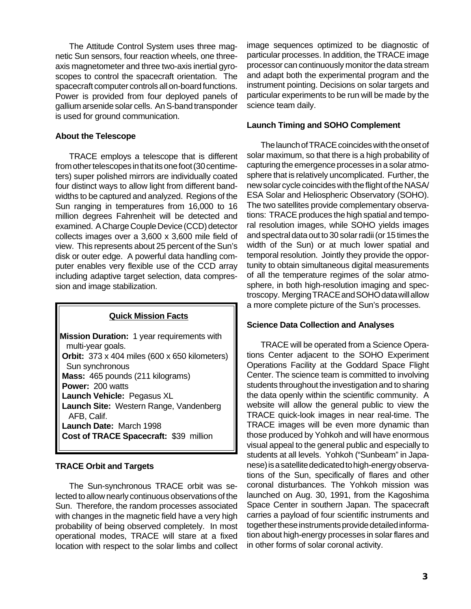The Attitude Control System uses three magnetic Sun sensors, four reaction wheels, one threeaxis magnetometer and three two-axis inertial gyroscopes to control the spacecraft orientation. The spacecraft computer controls all on-board functions. Power is provided from four deployed panels of gallium arsenide solar cells. An S-band transponder is used for ground communication.

#### **About the Telescope**

TRACE employs a telescope that is different from other telescopes in that its one foot (30 centimeters) super polished mirrors are individually coated four distinct ways to allow light from different bandwidths to be captured and analyzed. Regions of the Sun ranging in temperatures from 16,000 to 16 million degrees Fahrenheit will be detected and examined. A Charge Couple Device (CCD) detector collects images over a 3,600 x 3,600 mile field of view. This represents about 25 percent of the Sun's disk or outer edge. A powerful data handling computer enables very flexible use of the CCD array including adaptive target selection, data compression and image stabilization.

## **Quick Mission Facts**

 **Mission Duration:** 1 year requirements with multi-year goals.  **Orbit:** 373 x 404 miles (600 x 650 kilometers) Sun synchronous  **Mass:** 465 pounds (211 kilograms)  **Power:** 200 watts  **Launch Vehicle:** Pegasus XL  **Launch Site:** Western Range, Vandenberg AFB, Calif.  **Launch Date:** March 1998  **Cost of TRACE Spacecraft:** \$39 million

## **TRACE Orbit and Targets**

The Sun-synchronous TRACE orbit was selected to allow nearly continuous observations of the Sun. Therefore, the random processes associated with changes in the magnetic field have a very high probability of being observed completely. In most operational modes, TRACE will stare at a fixed location with respect to the solar limbs and collect

image sequences optimized to be diagnostic of particular processes. In addition, the TRACE image processor can continuously monitor the data stream and adapt both the experimental program and the instrument pointing. Decisions on solar targets and particular experiments to be run will be made by the science team daily.

#### **Launch Timing and SOHO Complement**

The launch of TRACE coincides with the onset of solar maximum, so that there is a high probability of capturing the emergence processes in a solar atmosphere that is relatively uncomplicated. Further, the new solar cycle coincides with the flight of the NASA/ ESA Solar and Heliospheric Observatory (SOHO). The two satellites provide complementary observations: TRACE produces the high spatial and temporal resolution images, while SOHO yields images and spectral data out to 30 solar radii (or 15 times the width of the Sun) or at much lower spatial and temporal resolution. Jointly they provide the opportunity to obtain simultaneous digital measurements of all the temperature regimes of the solar atmosphere, in both high-resolution imaging and spectroscopy. Merging TRACE and SOHO data will allow a more complete picture of the Sun's processes.

## **Science Data Collection and Analyses**

TRACE will be operated from a Science Operations Center adjacent to the SOHO Experiment Operations Facility at the Goddard Space Flight Center. The science team is committed to involving students throughout the investigation and to sharing the data openly within the scientific community. A website will allow the general public to view the TRACE quick-look images in near real-time. The TRACE images will be even more dynamic than those produced by Yohkoh and will have enormous visual appeal to the general public and especially to students at all levels. Yohkoh ("Sunbeam" in Japanese) is a satellite dedicated to high-energy observations of the Sun, specifically of flares and other coronal disturbances. The Yohkoh mission was launched on Aug. 30, 1991, from the Kagoshima Space Center in southern Japan. The spacecraft carries a payload of four scientific instruments and together these instruments provide detailed information about high-energy processes in solar flares and in other forms of solar coronal activity.